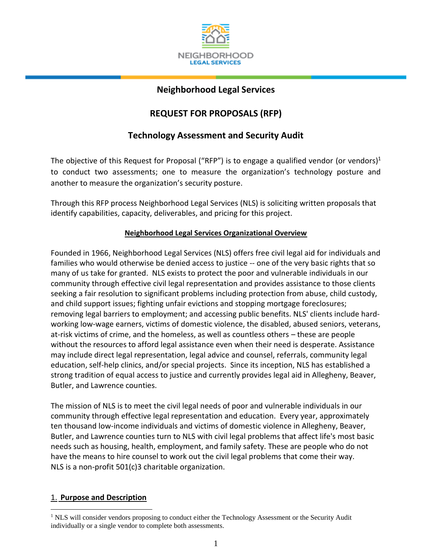

# **Neighborhood Legal Services**

# **REQUEST FOR PROPOSALS (RFP)**

# **Technology Assessment and Security Audit**

The objective of this Request for Proposal ("RFP") is to engage a qualified vendor (or vendors)<sup>1</sup> to conduct two assessments; one to measure the organization's technology posture and another to measure the organization's security posture.

Through this RFP process Neighborhood Legal Services (NLS) is soliciting written proposals that identify capabilities, capacity, deliverables, and pricing for this project.

## **Neighborhood Legal Services Organizational Overview**

Founded in 1966, Neighborhood Legal Services (NLS) offers free civil legal aid for individuals and families who would otherwise be denied access to justice -- one of the very basic rights that so many of us take for granted. NLS exists to protect the poor and vulnerable individuals in our community through effective civil legal representation and provides assistance to those clients seeking a fair resolution to significant problems including protection from abuse, child custody, and child support issues; fighting unfair evictions and stopping mortgage foreclosures; removing legal barriers to employment; and accessing public benefits. NLS' clients include hardworking low-wage earners, victims of domestic violence, the disabled, abused seniors, veterans, at-risk victims of crime, and the homeless, as well as countless others – these are people without the resources to afford legal assistance even when their need is desperate. Assistance may include direct legal representation, legal advice and counsel, referrals, community legal education, self-help clinics, and/or special projects. Since its inception, NLS has established a strong tradition of equal access to justice and currently provides legal aid in Allegheny, Beaver, Butler, and Lawrence counties.

The mission of NLS is to meet the civil legal needs of poor and vulnerable individuals in our community through effective legal representation and education. Every year, approximately ten thousand low-income individuals and victims of domestic violence in Allegheny, Beaver, Butler, and Lawrence counties turn to NLS with civil legal problems that affect life's most basic needs such as housing, health, employment, and family safety. These are people who do not have the means to hire counsel to work out the civil legal problems that come their way. NLS is a non-profit 501(c)3 charitable organization.

## 1. **Purpose and Description**

 $\overline{a}$ 

<sup>&</sup>lt;sup>1</sup> NLS will consider vendors proposing to conduct either the Technology Assessment or the Security Audit individually or a single vendor to complete both assessments.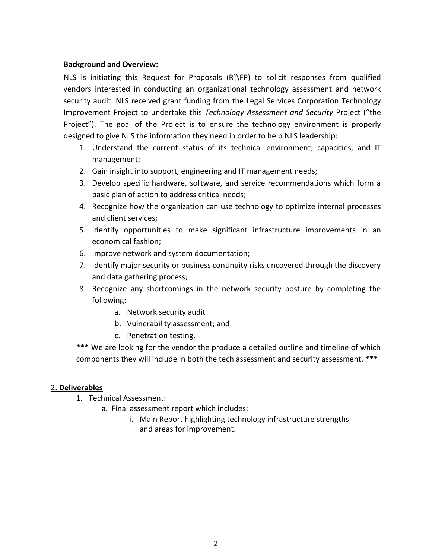### **Background and Overview:**

NLS is initiating this Request for Proposals (R]\FP) to solicit responses from qualified vendors interested in conducting an organizational technology assessment and network security audit. NLS received grant funding from the Legal Services Corporation Technology Improvement Project to undertake this *Technology Assessment and Security* Project ("the Project"). The goal of the Project is to ensure the technology environment is properly designed to give NLS the information they need in order to help NLS leadership:

- 1. Understand the current status of its technical environment, capacities, and IT management;
- 2. Gain insight into support, engineering and IT management needs;
- 3. Develop specific hardware, software, and service recommendations which form a basic plan of action to address critical needs;
- 4. Recognize how the organization can use technology to optimize internal processes and client services;
- 5. Identify opportunities to make significant infrastructure improvements in an economical fashion;
- 6. Improve network and system documentation;
- 7. Identify major security or business continuity risks uncovered through the discovery and data gathering process;
- 8. Recognize any shortcomings in the network security posture by completing the following:
	- a. Network security audit
	- b. Vulnerability assessment; and
	- c. Penetration testing.

\*\*\* We are looking for the vendor the produce a detailed outline and timeline of which components they will include in both the tech assessment and security assessment. \*\*\*

## 2. **Deliverables**

- 1. Technical Assessment:
	- a. Final assessment report which includes:
		- i. Main Report highlighting technology infrastructure strengths and areas for improvement.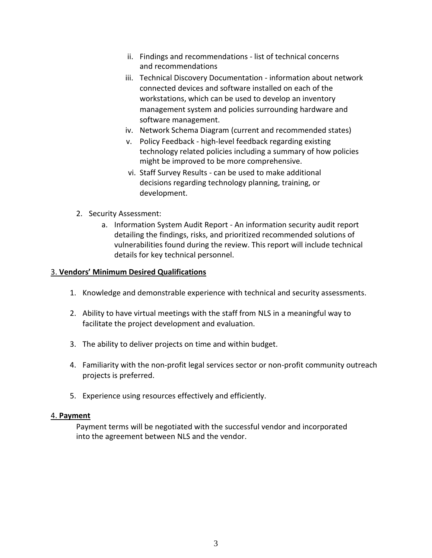- ii. Findings and recommendations list of technical concerns and recommendations
- iii. Technical Discovery Documentation information about network connected devices and software installed on each of the workstations, which can be used to develop an inventory management system and policies surrounding hardware and software management.
- iv. Network Schema Diagram (current and recommended states)
- v. Policy Feedback high-level feedback regarding existing technology related policies including a summary of how policies might be improved to be more comprehensive.
- vi. Staff Survey Results can be used to make additional decisions regarding technology planning, training, or development.
- 2. Security Assessment:
	- a. Information System Audit Report An information security audit report detailing the findings, risks, and prioritized recommended solutions of vulnerabilities found during the review. This report will include technical details for key technical personnel.

#### 3. **Vendors' Minimum Desired Qualifications**

- 1. Knowledge and demonstrable experience with technical and security assessments.
- 2. Ability to have virtual meetings with the staff from NLS in a meaningful way to facilitate the project development and evaluation.
- 3. The ability to deliver projects on time and within budget.
- 4. Familiarity with the non-profit legal services sector or non-profit community outreach projects is preferred.
- 5. Experience using resources effectively and efficiently.

#### 4. **Payment**

Payment terms will be negotiated with the successful vendor and incorporated into the agreement between NLS and the vendor.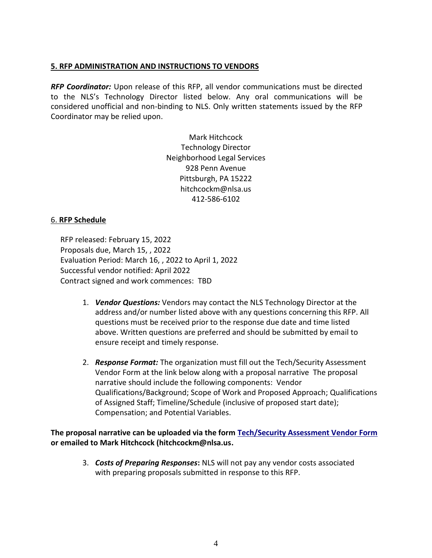#### **5. RFP ADMINISTRATION AND INSTRUCTIONS TO VENDORS**

*RFP Coordinator:* Upon release of this RFP, all vendor communications must be directed to the NLS's Technology Director listed below. Any oral communications will be considered unofficial and non-binding to NLS. Only written statements issued by the RFP Coordinator may be relied upon.

> Mark Hitchcock Technology Director Neighborhood Legal Services 928 Penn Avenue Pittsburgh, PA 15222 hitchcockm@nlsa.us 412-586-6102

### 6. **RFP Schedule**

RFP released: February 15, 2022 Proposals due, March 15, , 2022 Evaluation Period: March 16, , 2022 to April 1, 2022 Successful vendor notified: April 2022 Contract signed and work commences: TBD

- 1. *Vendor Questions:* Vendors may contact the NLS Technology Director at the address and/or number listed above with any questions concerning this RFP. All questions must be received prior to the response due date and time listed above. Written questions are preferred and should be submitted by email to ensure receipt and timely response.
- 2. *Response Format:* The organization must fill out the Tech/Security Assessment Vendor Form at the link below along with a proposal narrative The proposal narrative should include the following components: Vendor Qualifications/Background; Scope of Work and Proposed Approach; Qualifications of Assigned Staff; Timeline/Schedule (inclusive of proposed start date); Compensation; and Potential Variables.

**The proposal narrative can be uploaded via the form [Tech/Security Assessment Vendor Form](https://form.jotform.com/220176726161149) or emailed to Mark Hitchcock (hitchcockm@nlsa.us.**

3. *Costs of Preparing Responses***:** NLS will not pay any vendor costs associated with preparing proposals submitted in response to this RFP.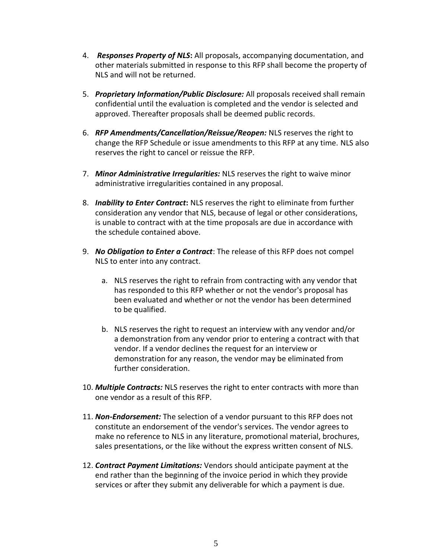- 4. *Responses Property of NLS***:** All proposals, accompanying documentation, and other materials submitted in response to this RFP shall become the property of NLS and will not be returned.
- 5. *Proprietary Information/Public Disclosure:* All proposals received shall remain confidential until the evaluation is completed and the vendor is selected and approved. Thereafter proposals shall be deemed public records.
- 6. *RFP Amendments/Cancellation/Reissue/Reopen:* NLS reserves the right to change the RFP Schedule or issue amendments to this RFP at any time. NLS also reserves the right to cancel or reissue the RFP.
- 7. *Minor Administrative Irregularities:* NLS reserves the right to waive minor administrative irregularities contained in any proposal.
- 8. *Inability to Enter Contract***:** NLS reserves the right to eliminate from further consideration any vendor that NLS, because of legal or other considerations, is unable to contract with at the time proposals are due in accordance with the schedule contained above.
- 9. *No Obligation to Enter a Contract*: The release of this RFP does not compel NLS to enter into any contract.
	- a. NLS reserves the right to refrain from contracting with any vendor that has responded to this RFP whether or not the vendor's proposal has been evaluated and whether or not the vendor has been determined to be qualified.
	- b. NLS reserves the right to request an interview with any vendor and/or a demonstration from any vendor prior to entering a contract with that vendor. If a vendor declines the request for an interview or demonstration for any reason, the vendor may be eliminated from further consideration.
- 10. *Multiple Contracts:* NLS reserves the right to enter contracts with more than one vendor as a result of this RFP.
- 11. *Non-Endorsement:* The selection of a vendor pursuant to this RFP does not constitute an endorsement of the vendor's services. The vendor agrees to make no reference to NLS in any literature, promotional material, brochures, sales presentations, or the like without the express written consent of NLS.
- 12. *Contract Payment Limitations:* Vendors should anticipate payment at the end rather than the beginning of the invoice period in which they provide services or after they submit any deliverable for which a payment is due.